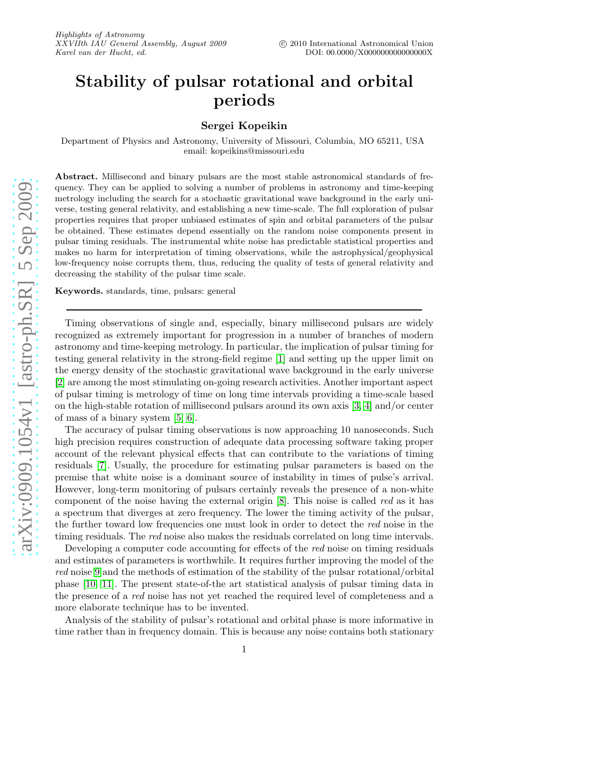# Stability of pulsar rotational and orbital periods

# Sergei Kopeikin

Department of Physics and Astronomy, University of Missouri, Columbia, MO 65211, USA email: kopeikins@missouri.edu

Abstract. Millisecond and binary pulsars are the most stable astronomical standards of frequency. They can be applied to solving a number of problems in astronomy and time-keeping metrology including the search for a stochastic gravitational wave background in the early universe, testing general relativity, and establishing a new time-scale. The full exploration of pulsar properties requires that proper unbiased estimates of spin and orbital parameters of the pulsar be obtained. These estimates depend essentially on the random noise components present in pulsar timing residuals. The instrumental white noise has predictable statistical properties and makes no harm for interpretation of timing observations, while the astrophysical/geophysical low-frequency noise corrupts them, thus, reducing the quality of tests of general relativity and decreasing the stability of the pulsar time scale.

Keywords. standards, time, pulsars: general

Timing observations of single and, especially, binary millisecond pulsars are widely recognized as extremely important for progression in a number of branches of modern astronomy and time-keeping metrology. In particular, the implication of pulsar timing for testing general relativity in the strong-field regime [\[1\]](#page-1-0) and setting up the upper limit on the energy density of the stochastic gravitational wave background in the early universe [\[2\]](#page-1-1) are among the most stimulating on-going research activities. Another important aspect of pulsar timing is metrology of time on long time intervals providing a time-scale based on the high-stable rotation of millisecond pulsars around its own axis [\[3,](#page-1-2) [4\]](#page-1-3) and/or center of mass of a binary system [\[5,](#page-1-4) [6\]](#page-1-5).

The accuracy of pulsar timing observations is now approaching 10 nanoseconds. Such high precision requires construction of adequate data processing software taking proper account of the relevant physical effects that can contribute to the variations of timing residuals [\[7\]](#page-1-6). Usually, the procedure for estimating pulsar parameters is based on the premise that white noise is a dominant source of instability in times of pulse's arrival. However, long-term monitoring of pulsars certainly reveals the presence of a non-white component of the noise having the external origin [\[8\]](#page-1-7). This noise is called red as it has a spectrum that diverges at zero frequency. The lower the timing activity of the pulsar, the further toward low frequencies one must look in order to detect the red noise in the timing residuals. The red noise also makes the residuals correlated on long time intervals.

Developing a computer code accounting for effects of the red noise on timing residuals and estimates of parameters is worthwhile. It requires further improving the model of the red noise [9](#page-1-8) and the methods of estimation of the stability of the pulsar rotational/orbital phase [\[10,](#page-1-9) [11\]](#page-1-10). The present state-of-the art statistical analysis of pulsar timing data in the presence of a red noise has not yet reached the required level of completeness and a more elaborate technique has to be invented.

Analysis of the stability of pulsar's rotational and orbital phase is more informative in time rather than in frequency domain. This is because any noise contains both stationary